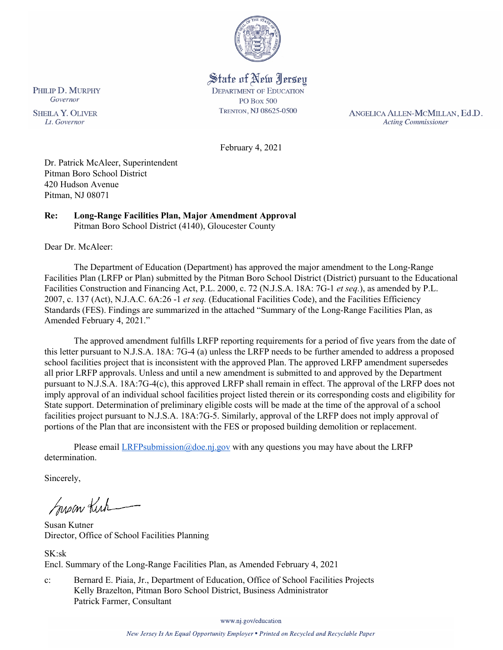

State of New Jersey **DEPARTMENT OF EDUCATION PO Box 500** TRENTON, NJ 08625-0500

ANGELICA ALLEN-MCMILLAN, Ed.D. **Acting Commissioner** 

February 4, 2021

Dr. Patrick McAleer, Superintendent Pitman Boro School District 420 Hudson Avenue Pitman, NJ 08071

#### **Re: Long-Range Facilities Plan, Major Amendment Approval**  Pitman Boro School District (4140), Gloucester County

Dear Dr. McAleer:

The Department of Education (Department) has approved the major amendment to the Long-Range Facilities Plan (LRFP or Plan) submitted by the Pitman Boro School District (District) pursuant to the Educational Facilities Construction and Financing Act, P.L. 2000, c. 72 (N.J.S.A. 18A: 7G-1 *et seq.*), as amended by P.L. 2007, c. 137 (Act), N.J.A.C. 6A:26 -1 *et seq.* (Educational Facilities Code), and the Facilities Efficiency Standards (FES). Findings are summarized in the attached "Summary of the Long-Range Facilities Plan, as Amended February 4, 2021."

The approved amendment fulfills LRFP reporting requirements for a period of five years from the date of this letter pursuant to N.J.S.A. 18A: 7G-4 (a) unless the LRFP needs to be further amended to address a proposed school facilities project that is inconsistent with the approved Plan. The approved LRFP amendment supersedes all prior LRFP approvals. Unless and until a new amendment is submitted to and approved by the Department pursuant to N.J.S.A. 18A:7G-4(c), this approved LRFP shall remain in effect. The approval of the LRFP does not imply approval of an individual school facilities project listed therein or its corresponding costs and eligibility for State support. Determination of preliminary eligible costs will be made at the time of the approval of a school facilities project pursuant to N.J.S.A. 18A:7G-5. Similarly, approval of the LRFP does not imply approval of portions of the Plan that are inconsistent with the FES or proposed building demolition or replacement.

Please email *LRFPsubmission@doe.nj.gov* with any questions you may have about the LRFP determination.

Sincerely,

Susan Kich

Susan Kutner Director, Office of School Facilities Planning

SK:sk Encl. Summary of the Long-Range Facilities Plan, as Amended February 4, 2021

c: Bernard E. Piaia, Jr., Department of Education, Office of School Facilities Projects Kelly Brazelton, Pitman Boro School District, Business Administrator Patrick Farmer, Consultant

www.nj.gov/education

PHILIP D. MURPHY Governor

**SHEILA Y. OLIVER** Lt. Governor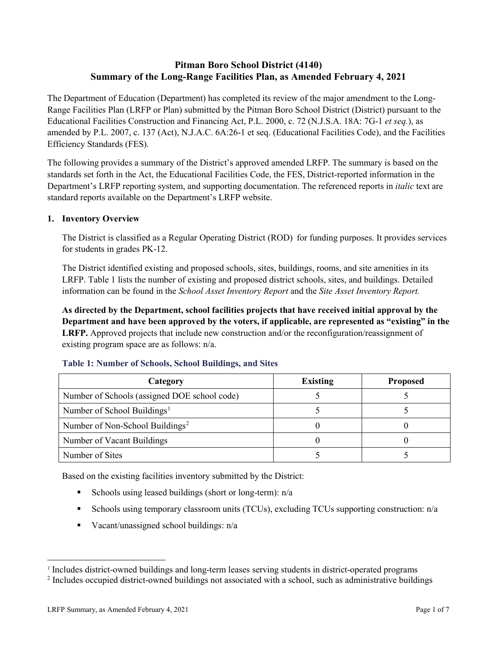# **Pitman Boro School District (4140) Summary of the Long-Range Facilities Plan, as Amended February 4, 2021**

The Department of Education (Department) has completed its review of the major amendment to the Long-Range Facilities Plan (LRFP or Plan) submitted by the Pitman Boro School District (District) pursuant to the Educational Facilities Construction and Financing Act, P.L. 2000, c. 72 (N.J.S.A. 18A: 7G-1 *et seq.*), as amended by P.L. 2007, c. 137 (Act), N.J.A.C. 6A:26-1 et seq. (Educational Facilities Code), and the Facilities Efficiency Standards (FES).

The following provides a summary of the District's approved amended LRFP. The summary is based on the standards set forth in the Act, the Educational Facilities Code, the FES, District-reported information in the Department's LRFP reporting system, and supporting documentation. The referenced reports in *italic* text are standard reports available on the Department's LRFP website.

## **1. Inventory Overview**

The District is classified as a Regular Operating District (ROD) for funding purposes. It provides services for students in grades PK-12.

The District identified existing and proposed schools, sites, buildings, rooms, and site amenities in its LRFP. Table 1 lists the number of existing and proposed district schools, sites, and buildings. Detailed information can be found in the *School Asset Inventory Report* and the *Site Asset Inventory Report.*

**As directed by the Department, school facilities projects that have received initial approval by the Department and have been approved by the voters, if applicable, are represented as "existing" in the LRFP.** Approved projects that include new construction and/or the reconfiguration/reassignment of existing program space are as follows: n/a.

| Category                                     | <b>Existing</b> | <b>Proposed</b> |
|----------------------------------------------|-----------------|-----------------|
| Number of Schools (assigned DOE school code) |                 |                 |
| Number of School Buildings <sup>1</sup>      |                 |                 |
| Number of Non-School Buildings <sup>2</sup>  |                 |                 |
| Number of Vacant Buildings                   |                 |                 |
| Number of Sites                              |                 |                 |

#### **Table 1: Number of Schools, School Buildings, and Sites**

Based on the existing facilities inventory submitted by the District:

- Schools using leased buildings (short or long-term):  $n/a$
- Schools using temporary classroom units (TCUs), excluding TCUs supporting construction: n/a
- Vacant/unassigned school buildings:  $n/a$

 $\overline{a}$ 

<span id="page-1-0"></span>*<sup>1</sup>* Includes district-owned buildings and long-term leases serving students in district-operated programs

<span id="page-1-1"></span><sup>&</sup>lt;sup>2</sup> Includes occupied district-owned buildings not associated with a school, such as administrative buildings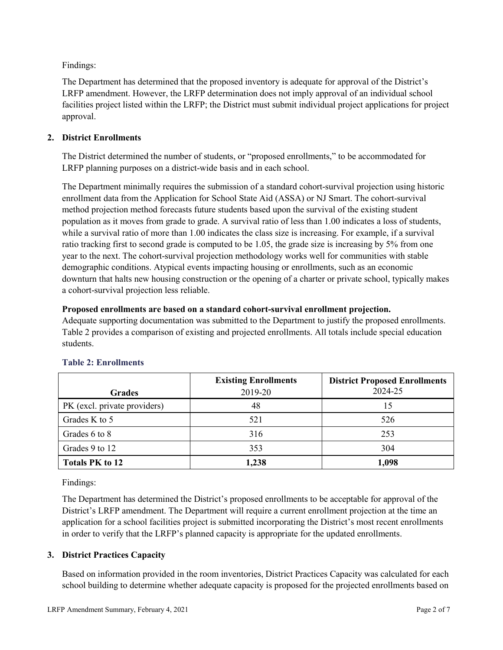Findings:

The Department has determined that the proposed inventory is adequate for approval of the District's LRFP amendment. However, the LRFP determination does not imply approval of an individual school facilities project listed within the LRFP; the District must submit individual project applications for project approval.

## **2. District Enrollments**

The District determined the number of students, or "proposed enrollments," to be accommodated for LRFP planning purposes on a district-wide basis and in each school.

The Department minimally requires the submission of a standard cohort-survival projection using historic enrollment data from the Application for School State Aid (ASSA) or NJ Smart. The cohort-survival method projection method forecasts future students based upon the survival of the existing student population as it moves from grade to grade. A survival ratio of less than 1.00 indicates a loss of students, while a survival ratio of more than 1.00 indicates the class size is increasing. For example, if a survival ratio tracking first to second grade is computed to be 1.05, the grade size is increasing by 5% from one year to the next. The cohort-survival projection methodology works well for communities with stable demographic conditions. Atypical events impacting housing or enrollments, such as an economic downturn that halts new housing construction or the opening of a charter or private school, typically makes a cohort-survival projection less reliable.

## **Proposed enrollments are based on a standard cohort-survival enrollment projection.**

Adequate supporting documentation was submitted to the Department to justify the proposed enrollments. Table 2 provides a comparison of existing and projected enrollments. All totals include special education students.

|                              | <b>Existing Enrollments</b> | <b>District Proposed Enrollments</b> |
|------------------------------|-----------------------------|--------------------------------------|
| <b>Grades</b>                | 2019-20                     | 2024-25                              |
| PK (excl. private providers) | 48                          | 15                                   |
| Grades K to 5                | 521                         | 526                                  |
| Grades 6 to 8                | 316                         | 253                                  |
| Grades 9 to 12               | 353                         | 304                                  |
| <b>Totals PK to 12</b>       | 1,238                       | 1,098                                |

# **Table 2: Enrollments**

Findings:

The Department has determined the District's proposed enrollments to be acceptable for approval of the District's LRFP amendment. The Department will require a current enrollment projection at the time an application for a school facilities project is submitted incorporating the District's most recent enrollments in order to verify that the LRFP's planned capacity is appropriate for the updated enrollments.

## **3. District Practices Capacity**

Based on information provided in the room inventories, District Practices Capacity was calculated for each school building to determine whether adequate capacity is proposed for the projected enrollments based on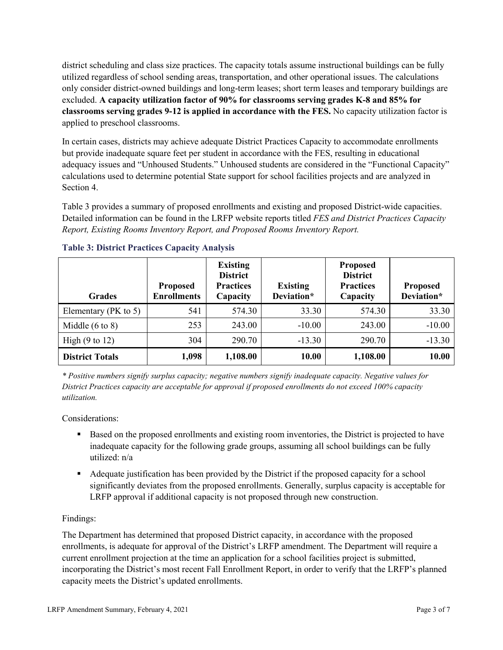district scheduling and class size practices. The capacity totals assume instructional buildings can be fully utilized regardless of school sending areas, transportation, and other operational issues. The calculations only consider district-owned buildings and long-term leases; short term leases and temporary buildings are excluded. **A capacity utilization factor of 90% for classrooms serving grades K-8 and 85% for classrooms serving grades 9-12 is applied in accordance with the FES.** No capacity utilization factor is applied to preschool classrooms.

In certain cases, districts may achieve adequate District Practices Capacity to accommodate enrollments but provide inadequate square feet per student in accordance with the FES, resulting in educational adequacy issues and "Unhoused Students." Unhoused students are considered in the "Functional Capacity" calculations used to determine potential State support for school facilities projects and are analyzed in Section 4.

Table 3 provides a summary of proposed enrollments and existing and proposed District-wide capacities. Detailed information can be found in the LRFP website reports titled *FES and District Practices Capacity Report, Existing Rooms Inventory Report, and Proposed Rooms Inventory Report.*

| <b>Grades</b>              | <b>Proposed</b><br><b>Enrollments</b> | <b>Existing</b><br><b>District</b><br><b>Practices</b><br>Capacity | <b>Existing</b><br>Deviation* | <b>Proposed</b><br><b>District</b><br><b>Practices</b><br>Capacity | <b>Proposed</b><br>Deviation* |
|----------------------------|---------------------------------------|--------------------------------------------------------------------|-------------------------------|--------------------------------------------------------------------|-------------------------------|
| Elementary (PK to 5)       | 541                                   | 574.30                                                             | 33.30                         | 574.30                                                             | 33.30                         |
| Middle $(6 \text{ to } 8)$ | 253                                   | 243.00                                                             | $-10.00$                      | 243.00                                                             | $-10.00$                      |
| High $(9 \text{ to } 12)$  | 304                                   | 290.70                                                             | $-13.30$                      | 290.70                                                             | $-13.30$                      |
| <b>District Totals</b>     | 1,098                                 | 1,108.00                                                           | 10.00                         | 1,108.00                                                           | 10.00                         |

## **Table 3: District Practices Capacity Analysis**

*\* Positive numbers signify surplus capacity; negative numbers signify inadequate capacity. Negative values for District Practices capacity are acceptable for approval if proposed enrollments do not exceed 100% capacity utilization.*

Considerations:

- Based on the proposed enrollments and existing room inventories, the District is projected to have inadequate capacity for the following grade groups, assuming all school buildings can be fully utilized: n/a
- Adequate justification has been provided by the District if the proposed capacity for a school significantly deviates from the proposed enrollments. Generally, surplus capacity is acceptable for LRFP approval if additional capacity is not proposed through new construction.

## Findings:

The Department has determined that proposed District capacity, in accordance with the proposed enrollments, is adequate for approval of the District's LRFP amendment. The Department will require a current enrollment projection at the time an application for a school facilities project is submitted, incorporating the District's most recent Fall Enrollment Report, in order to verify that the LRFP's planned capacity meets the District's updated enrollments.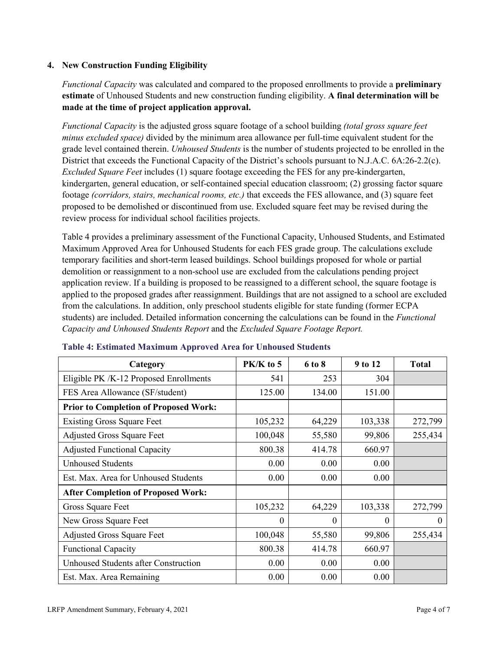## **4. New Construction Funding Eligibility**

*Functional Capacity* was calculated and compared to the proposed enrollments to provide a **preliminary estimate** of Unhoused Students and new construction funding eligibility. **A final determination will be made at the time of project application approval.**

*Functional Capacity* is the adjusted gross square footage of a school building *(total gross square feet minus excluded space)* divided by the minimum area allowance per full-time equivalent student for the grade level contained therein. *Unhoused Students* is the number of students projected to be enrolled in the District that exceeds the Functional Capacity of the District's schools pursuant to N.J.A.C. 6A:26-2.2(c). *Excluded Square Feet* includes (1) square footage exceeding the FES for any pre-kindergarten, kindergarten, general education, or self-contained special education classroom; (2) grossing factor square footage *(corridors, stairs, mechanical rooms, etc.)* that exceeds the FES allowance, and (3) square feet proposed to be demolished or discontinued from use. Excluded square feet may be revised during the review process for individual school facilities projects.

Table 4 provides a preliminary assessment of the Functional Capacity, Unhoused Students, and Estimated Maximum Approved Area for Unhoused Students for each FES grade group. The calculations exclude temporary facilities and short-term leased buildings. School buildings proposed for whole or partial demolition or reassignment to a non-school use are excluded from the calculations pending project application review. If a building is proposed to be reassigned to a different school, the square footage is applied to the proposed grades after reassignment. Buildings that are not assigned to a school are excluded from the calculations. In addition, only preschool students eligible for state funding (former ECPA students) are included. Detailed information concerning the calculations can be found in the *Functional Capacity and Unhoused Students Report* and the *Excluded Square Footage Report.*

| Category                                     | PK/K to 5 | 6 to 8 | 9 to 12  | <b>Total</b> |
|----------------------------------------------|-----------|--------|----------|--------------|
| Eligible PK /K-12 Proposed Enrollments       | 541       | 253    | 304      |              |
| FES Area Allowance (SF/student)              | 125.00    | 134.00 | 151.00   |              |
| <b>Prior to Completion of Proposed Work:</b> |           |        |          |              |
| <b>Existing Gross Square Feet</b>            | 105,232   | 64,229 | 103,338  | 272,799      |
| <b>Adjusted Gross Square Feet</b>            | 100,048   | 55,580 | 99,806   | 255,434      |
| <b>Adjusted Functional Capacity</b>          | 800.38    | 414.78 | 660.97   |              |
| <b>Unhoused Students</b>                     | 0.00      | 0.00   | 0.00     |              |
| Est. Max. Area for Unhoused Students         | 0.00      | 0.00   | 0.00     |              |
| <b>After Completion of Proposed Work:</b>    |           |        |          |              |
| Gross Square Feet                            | 105,232   | 64,229 | 103,338  | 272,799      |
| New Gross Square Feet                        | $\theta$  | 0      | $\theta$ | $\Omega$     |
| <b>Adjusted Gross Square Feet</b>            | 100,048   | 55,580 | 99,806   | 255,434      |
| <b>Functional Capacity</b>                   | 800.38    | 414.78 | 660.97   |              |
| Unhoused Students after Construction         | 0.00      | 0.00   | 0.00     |              |
| Est. Max. Area Remaining                     | 0.00      | 0.00   | 0.00     |              |

#### **Table 4: Estimated Maximum Approved Area for Unhoused Students**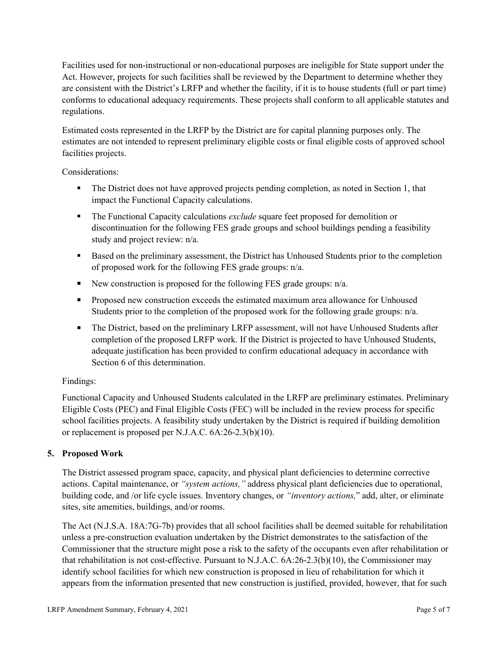Facilities used for non-instructional or non-educational purposes are ineligible for State support under the Act. However, projects for such facilities shall be reviewed by the Department to determine whether they are consistent with the District's LRFP and whether the facility, if it is to house students (full or part time) conforms to educational adequacy requirements. These projects shall conform to all applicable statutes and regulations.

Estimated costs represented in the LRFP by the District are for capital planning purposes only. The estimates are not intended to represent preliminary eligible costs or final eligible costs of approved school facilities projects.

Considerations:

- The District does not have approved projects pending completion, as noted in Section 1, that impact the Functional Capacity calculations.
- **The Functional Capacity calculations** *exclude* square feet proposed for demolition or discontinuation for the following FES grade groups and school buildings pending a feasibility study and project review: n/a.
- Based on the preliminary assessment, the District has Unhoused Students prior to the completion of proposed work for the following FES grade groups: n/a.
- New construction is proposed for the following FES grade groups: n/a.
- Proposed new construction exceeds the estimated maximum area allowance for Unhoused Students prior to the completion of the proposed work for the following grade groups: n/a.
- The District, based on the preliminary LRFP assessment, will not have Unhoused Students after completion of the proposed LRFP work. If the District is projected to have Unhoused Students, adequate justification has been provided to confirm educational adequacy in accordance with Section 6 of this determination.

## Findings:

Functional Capacity and Unhoused Students calculated in the LRFP are preliminary estimates. Preliminary Eligible Costs (PEC) and Final Eligible Costs (FEC) will be included in the review process for specific school facilities projects. A feasibility study undertaken by the District is required if building demolition or replacement is proposed per N.J.A.C. 6A:26-2.3(b)(10).

# **5. Proposed Work**

The District assessed program space, capacity, and physical plant deficiencies to determine corrective actions. Capital maintenance, or *"system actions,"* address physical plant deficiencies due to operational, building code, and /or life cycle issues. Inventory changes, or *"inventory actions,*" add, alter, or eliminate sites, site amenities, buildings, and/or rooms.

The Act (N.J.S.A. 18A:7G-7b) provides that all school facilities shall be deemed suitable for rehabilitation unless a pre-construction evaluation undertaken by the District demonstrates to the satisfaction of the Commissioner that the structure might pose a risk to the safety of the occupants even after rehabilitation or that rehabilitation is not cost-effective. Pursuant to N.J.A.C. 6A:26-2.3(b)(10), the Commissioner may identify school facilities for which new construction is proposed in lieu of rehabilitation for which it appears from the information presented that new construction is justified, provided, however, that for such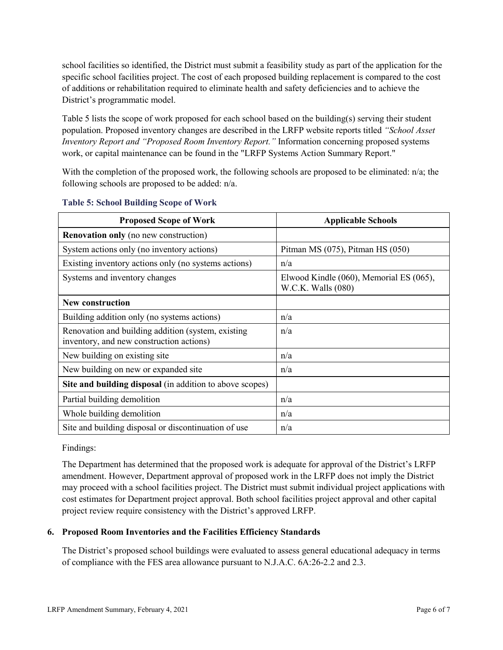school facilities so identified, the District must submit a feasibility study as part of the application for the specific school facilities project. The cost of each proposed building replacement is compared to the cost of additions or rehabilitation required to eliminate health and safety deficiencies and to achieve the District's programmatic model.

Table 5 lists the scope of work proposed for each school based on the building(s) serving their student population. Proposed inventory changes are described in the LRFP website reports titled *"School Asset Inventory Report and "Proposed Room Inventory Report."* Information concerning proposed systems work, or capital maintenance can be found in the "LRFP Systems Action Summary Report."

With the completion of the proposed work, the following schools are proposed to be eliminated:  $n/a$ ; the following schools are proposed to be added: n/a.

| <b>Proposed Scope of Work</b>                                                                  | <b>Applicable Schools</b>                                     |
|------------------------------------------------------------------------------------------------|---------------------------------------------------------------|
| <b>Renovation only</b> (no new construction)                                                   |                                                               |
| System actions only (no inventory actions)                                                     | Pitman MS $(075)$ , Pitman HS $(050)$                         |
| Existing inventory actions only (no systems actions)                                           | n/a                                                           |
| Systems and inventory changes                                                                  | Elwood Kindle (060), Memorial ES (065),<br>W.C.K. Walls (080) |
| <b>New construction</b>                                                                        |                                                               |
| Building addition only (no systems actions)                                                    | n/a                                                           |
| Renovation and building addition (system, existing<br>inventory, and new construction actions) | n/a                                                           |
| New building on existing site                                                                  | n/a                                                           |
| New building on new or expanded site                                                           | n/a                                                           |
| Site and building disposal (in addition to above scopes)                                       |                                                               |
| Partial building demolition                                                                    | n/a                                                           |
| Whole building demolition                                                                      | n/a                                                           |
| Site and building disposal or discontinuation of use                                           | n/a                                                           |

#### **Table 5: School Building Scope of Work**

Findings:

The Department has determined that the proposed work is adequate for approval of the District's LRFP amendment. However, Department approval of proposed work in the LRFP does not imply the District may proceed with a school facilities project. The District must submit individual project applications with cost estimates for Department project approval. Both school facilities project approval and other capital project review require consistency with the District's approved LRFP.

## **6. Proposed Room Inventories and the Facilities Efficiency Standards**

The District's proposed school buildings were evaluated to assess general educational adequacy in terms of compliance with the FES area allowance pursuant to N.J.A.C. 6A:26-2.2 and 2.3.